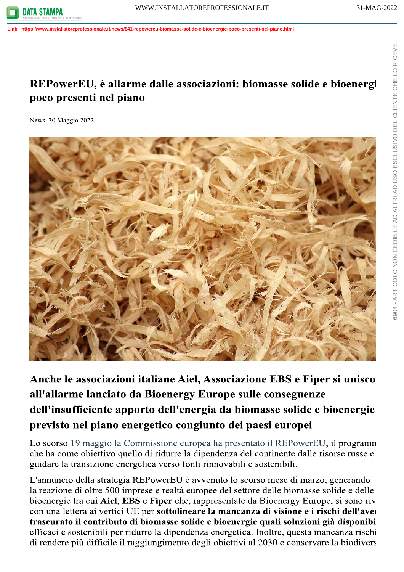Link: https://www.installatoreprofessionale.it/news/841-repowereu-biomasse-solide-e-bioenergie-poco-presenti-nel-piano.html

## REPowerEU, è allarme dalle associazioni: biomasse solide e bioenergi poco presenti nel piano

News 30 Maggio 2022



Anche le associazioni italiane Aiel, Associazione EBS e Fiper si unisco all'allarme lanciato da Bioenergy Europe sulle conseguenze dell'insufficiente apporto dell'energia da biomasse solide e bioenergie previsto nel piano energetico congiunto dei paesi europei

Lo scorso 19 maggio la Commissione europea ha presentato il REPowerEU, il programn che ha come obiettivo quello di ridurre la dipendenza del continente dalle risorse russe e guidare la transizione energetica verso fonti rinnovabili e sostenibili.

L'annuncio della strategia REPowerEU è avvenuto lo scorso mese di marzo, generando la reazione di oltre 500 imprese e realtà europee del settore delle biomasse solide e delle bioenergie tra cui Aiel, EBS e Fiper che, rappresentate da Bioenergy Europe, si sono riv con una lettera ai vertici UE per sottolineare la mancanza di visione e i rischi dell'aver trascurato il contributo di biomasse solide e bioenergie quali soluzioni già disponibi efficaci e sostenibili per ridurre la dipendenza energetica. Inoltre, questa mancanza rischi di rendere più difficile il raggiungimento degli obiettivi al 2030 e conservare la biodivers